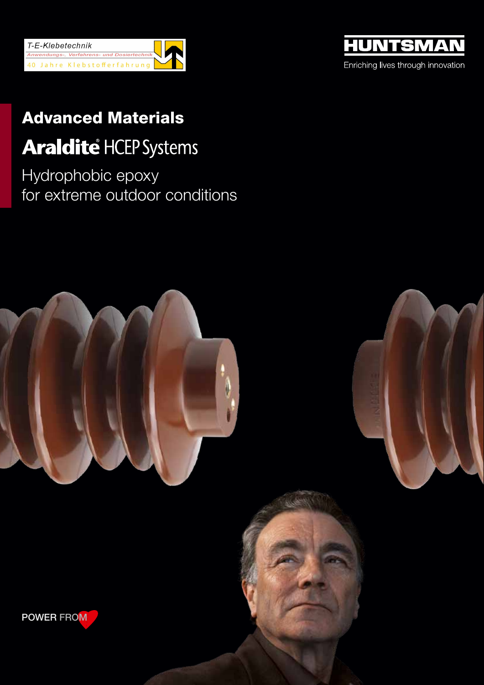



# Advanced Materials

## **Araldité HCEP Systems**

Hydrophobic epoxy for extreme outdoor conditions

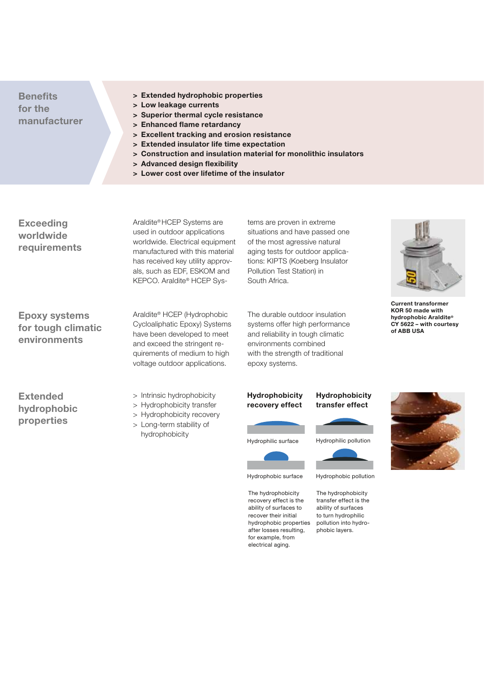## **Benefits for the manufacturer**

- **> Extended hydrophobic properties**
- **> Low leakage currents**
- **> Superior thermal cycle resistance**
- **> Enhanced flame retardancy**
- **> Excellent tracking and erosion resistance**
- **> Extended insulator life time expectation**
- **> Construction and insulation material for monolithic insulators**
- **> Advanced design flexibility**
- **> Lower cost over lifetime of the insulator**

**Exceeding worldwide requirements** Araldite® HCEP Systems are used in outdoor applications worldwide. Electrical equipment manufactured with this material has received key utility approvals, such as EDF, ESKOM and KEPCO. Araldite® HCEP Sys-

Araldite® HCEP (Hydrophobic Cycloaliphatic Epoxy) Systems have been developed to meet

aging tests for outdoor applications: KIPTS (Koeberg Insulator Pollution Test Station) in South Africa.

tems are proven in extreme situations and have passed one of the most agressive natural

The durable outdoor insulation systems offer high performance and reliability in tough climatic environments combined with the strength of traditional epoxy systems.



**Current transformer KOR 50 made with hydrophobic Araldite® CY 5622 – with courtesy of ABB USA**

**for tough climatic environments**

**Epoxy systems** 

**Extended hydrophobic properties**

> Intrinsic hydrophobicity

and exceed the stringent requirements of medium to high voltage outdoor applications.

- > Hydrophobicity transfer
- > Hydrophobicity recovery
- > Long-term stability of hydrophobicity



#### **Hydrophobicity transfer effect**



Hydrophobic surface

The hydrophobicity recovery effect is the ability of surfaces to recover their initial hydrophobic properties after losses resulting, for example, from electrical aging.



The hydrophobicity transfer effect is the ability of surfaces

to turn hydrophilic pollution into hydrophobic layers.

Hydrophobic pollution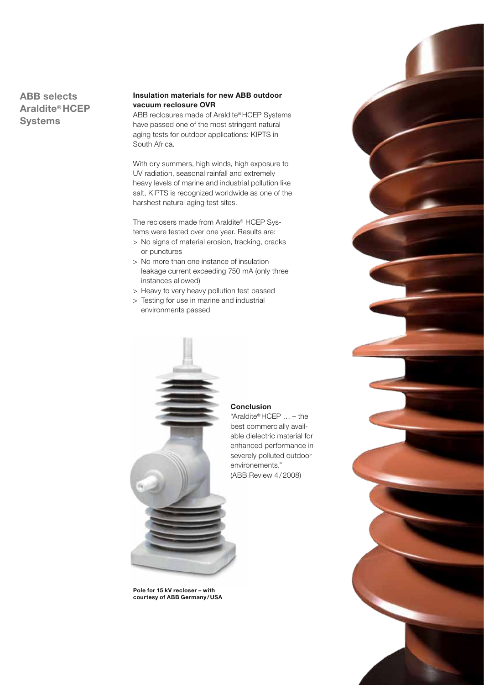## **ABB selects Araldite® HCEP Systems**

#### **Insulation materials for new ABB outdoor vacuum reclosure OVR**

ABB reclosures made of Araldite® HCEP Systems have passed one of the most stringent natural aging tests for outdoor applications: KIPTS in South Africa.

With dry summers, high winds, high exposure to UV radiation, seasonal rainfall and extremely heavy levels of marine and industrial pollution like salt, KIPTS is recognized worldwide as one of the harshest natural aging test sites.

The reclosers made from Araldite® HCEP Systems were tested over one year. Results are:

- > No signs of material erosion, tracking, cracks or punctures
- > No more than one instance of insulation leakage current exceeding 750 mA (only three instances allowed)
- > Heavy to very heavy pollution test passed
- > Testing for use in marine and industrial environments passed



### "Araldite® HCEP … – the

best commercially available dielectric material for enhanced performance in severely polluted outdoor environements." (ABB Review 4/2008)

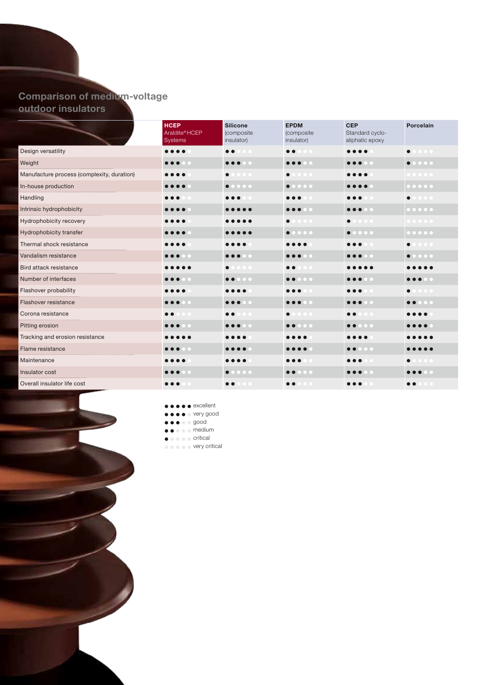## **Comparison of medium-voltage outdoor insulators**

|                                            | <b>HCEP</b><br>Araldite®HCEP<br><b>Systems</b> | <b>Silicone</b><br>(composite<br>insulator)                                                                        | <b>EPDM</b><br>(composite<br>insulator) | <b>CEP</b><br>Standard cyclo-<br>aliphatic epoxy                                                                   | Porcelain                                                                                                                    |
|--------------------------------------------|------------------------------------------------|--------------------------------------------------------------------------------------------------------------------|-----------------------------------------|--------------------------------------------------------------------------------------------------------------------|------------------------------------------------------------------------------------------------------------------------------|
| Design versatility                         | .                                              | $\bullet$                                                                                                          | $\bullet$<br>$\bullet$ $\bullet$        |                                                                                                                    | $\bullet$                                                                                                                    |
| Weight                                     |                                                | $\bullet\bullet\bullet\circ\bullet$                                                                                | $\bullet\bullet\bullet\bullet\bullet$   |                                                                                                                    | 0.00000                                                                                                                      |
| Manufacture process (complexity, duration) |                                                | $\bullet\bullet\bullet$<br>$\bullet$                                                                               | $\bullet$ $\bullet$<br>$\bullet$        |                                                                                                                    |                                                                                                                              |
| In-house production                        |                                                | 0.0000                                                                                                             | 0.0000                                  |                                                                                                                    | $\begin{array}{cccccccccccccc} \bullet & \bullet & \bullet & \bullet & \bullet & \bullet & \bullet \end{array}$              |
| Handling                                   |                                                |                                                                                                                    |                                         |                                                                                                                    | $\bullet\bullet\bullet$<br>$\bullet$                                                                                         |
| Intrinsic hydrophobicity                   |                                                |                                                                                                                    | $\bullet\bullet\bullet\bullet\bullet$   | $\bullet\bullet\bullet\circ\bullet$                                                                                | $\begin{array}{cccccccccccccc} 0 & 0 & 0 & 0 & 0 & 0 \\ \end{array}$                                                         |
| Hydrophobicity recovery                    |                                                |                                                                                                                    | $\bullet$ $\bullet$<br>$\bullet$        | $\bullet$<br>$\bullet$                                                                                             | $\begin{array}{cccccccccccccc} \bullet & \bullet & \bullet & \bullet & \bullet & \bullet & \bullet \end{array}$              |
| Hydrophobicity transfer                    |                                                |                                                                                                                    | 0.0000                                  | $\begin{array}{ccccccccccccccccc} \bullet & \bullet & \bullet & \bullet & \bullet & \bullet & \bullet \end{array}$ | $\begin{array}{ccccccccccccccccc} \bullet & \bullet & \bullet & \bullet & \bullet & \bullet & \bullet & \bullet \end{array}$ |
| Thermal shock resistance                   |                                                |                                                                                                                    |                                         |                                                                                                                    | $\bullet\bullet\bullet\bullet$                                                                                               |
| Vandalism resistance                       |                                                | .                                                                                                                  |                                         | $\bullet\bullet\bullet\quad$                                                                                       | $\begin{array}{ccccccccccccccccc} \bullet & \bullet & \bullet & \bullet & \bullet & \bullet & \bullet \end{array}$           |
| Bird attack resistance                     |                                                | $\bullet\bullet\bullet$<br>$\bullet$                                                                               | $\bullet$<br>$\overline{\phantom{a}}$   |                                                                                                                    |                                                                                                                              |
| Number of interfaces                       |                                                | 0.0000                                                                                                             | $\bullet\bullet\bullet\bullet\bullet$   | $\bullet$                                                                                                          | .                                                                                                                            |
| Flashover probability                      |                                                |                                                                                                                    |                                         |                                                                                                                    | $\bullet$ $\bullet$                                                                                                          |
| Flashover resistance                       | n c                                            | $\bullet\bullet\bullet\bullet\bullet$                                                                              | $\bullet\bullet\bullet\bullet\bullet$   | $\bullet\bullet\bullet\bullet\bullet$                                                                              | $\bullet\bullet\bullet\bullet\bullet$                                                                                        |
| Corona resistance                          |                                                |                                                                                                                    | $\bullet\bullet\bullet$                 |                                                                                                                    |                                                                                                                              |
| Pitting erosion                            |                                                | $\bullet$<br>$\bigcirc$ C                                                                                          | $\bullet\bullet\circ\bullet\circ$       | $\circ$ $\circ$<br>$\bullet$ $\bullet$                                                                             |                                                                                                                              |
| Tracking and erosion resistance            |                                                |                                                                                                                    |                                         |                                                                                                                    |                                                                                                                              |
| Flame resistance                           |                                                |                                                                                                                    |                                         | $\bullet$ $\bullet$ $\bullet$<br>$\bullet$                                                                         |                                                                                                                              |
| Maintenance                                |                                                |                                                                                                                    |                                         |                                                                                                                    | $\bullet$ $\bullet$                                                                                                          |
| Insulator cost                             |                                                | $\begin{array}{ccccccccccccccccc} \bullet & \bullet & \bullet & \bullet & \bullet & \bullet & \bullet \end{array}$ | $\circ$ $\circ$                         |                                                                                                                    |                                                                                                                              |
| Overall insulator life cost                |                                                |                                                                                                                    |                                         |                                                                                                                    |                                                                                                                              |



#### **e**  $\bullet \bullet \bullet \bullet$  excellent

- $\bullet \bullet \bullet \bullet$  very good
- $\bullet\bullet\bullet\bullet$  good
- $\bullet \bullet \bullet \bullet$  medium
- $\bullet \bullet \bullet \bullet \circ$  critical
- $\bullet \bullet \bullet \bullet \bullet$  very critical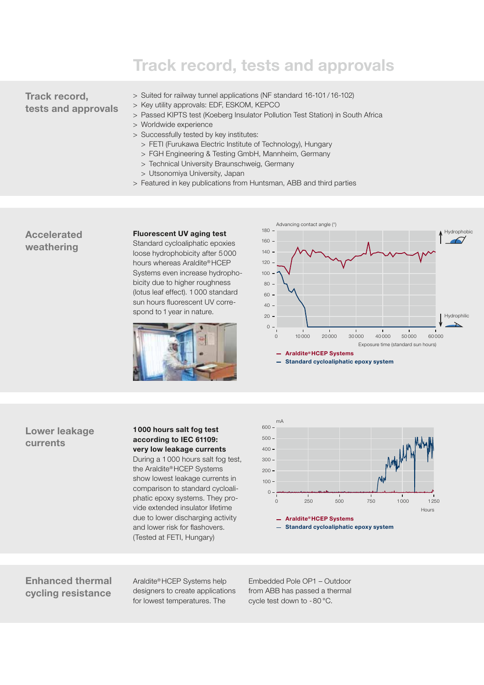## **Track record, tests and approvals**

## **Track record, tests and approvals**

- > Suited for railway tunnel applications (NF standard 16-101/16-102)
- > Key utility approvals: EDF, ESKOM, KEPCO
- > Passed KIPTS test (Koeberg Insulator Pollution Test Station) in South Africa
- > Worldwide experience
- > Successfully tested by key institutes:
	- > FETI (Furukawa Electric Institute of Technology), Hungary
	- > FGH Engineering & Testing GmbH, Mannheim, Germany
	- > Technical University Braunschweig, Germany
	- > Utsonomiya University, Japan
- > Featured in key publications from Huntsman, ABB and third parties

### **Accelerated weathering**

#### **Fluorescent UV aging test**

Standard cycloaliphatic epoxies loose hydrophobicity after 5 000 hours whereas Araldite® HCEP Systems even increase hydrophobicity due to higher roughness (lotus leaf effect). 1000 standard sun hours fluorescent UV correspond to 1 year in nature.







#### **1000 hours salt fog test according to IEC 61109: very low leakage currents**

During a 1000 hours salt fog test, the Araldite® HCEP Systems show lowest leakage currents in comparison to standard cycloaliphatic epoxy systems. They provide extended insulator lifetime due to lower discharging activity and lower risk for flashovers. (Tested at FETI, Hungary)



**Standard cycloaliphatic epoxy system**

## **Enhanced thermal cycling resistance**

Araldite® HCEP Systems help designers to create applications for lowest temperatures. The

Embedded Pole OP1 – Outdoor from ABB has passed a thermal cycle test down to - 80 °C.